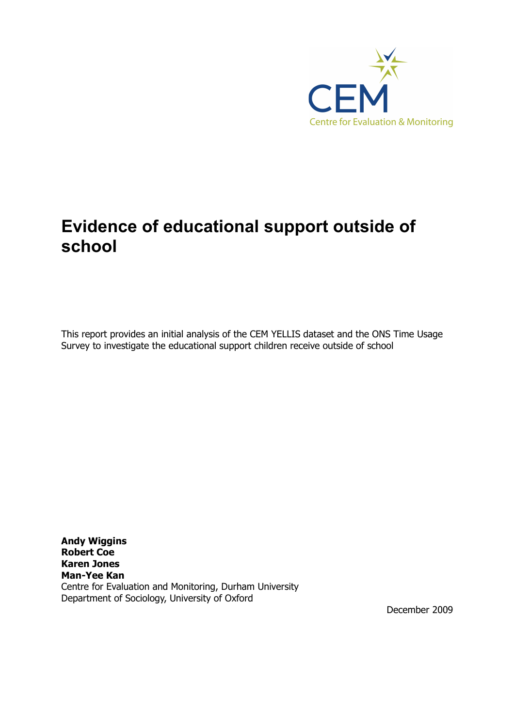

# **Evidence of educational support outside of school**

This report provides an initial analysis of the CEM YELLIS dataset and the ONS Time Usage Survey to investigate the educational support children receive outside of school

**Andy Wiggins Robert Coe Karen Jones Man-Yee Kan** Centre for Evaluation and Monitoring, Durham University Department of Sociology, University of Oxford

December 2009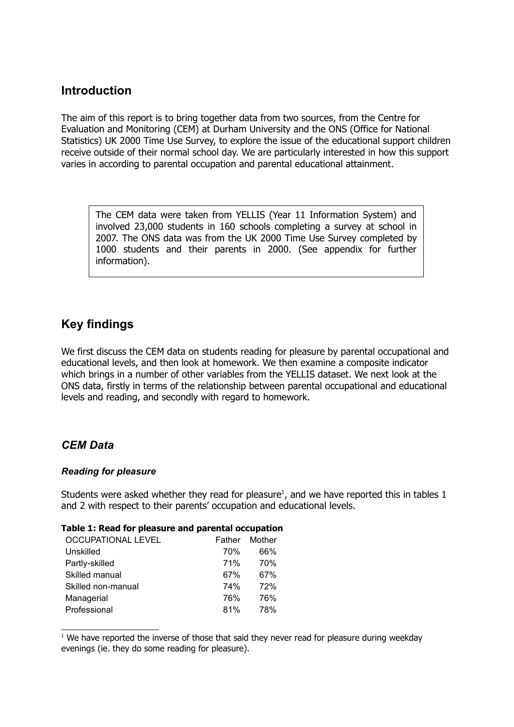# **Introduction**

The aim of this report is to bring together data from two sources, from the Centre for Evaluation and Monitoring (CEM) at Durham University and the ONS (Office for National Statistics) UK 2000 Time Use Survey, to explore the issue of the educational support children receive outside of their normal school day. We are particularly interested in how this support varies in according to parental occupation and parental educational attainment.

The CEM data were taken from YELLIS (Year 11 Information System) and involved 23,000 students in 160 schools completing a survey at school in 2007. The ONS data was from the UK 2000 Time Use Survey completed by 1000 students and their parents in 2000. (See appendix for further information).

## **Key findings**

We first discuss the CEM data on students reading for pleasure by parental occupational and educational levels, and then look at homework. We then examine a composite indicator which brings in a number of other variables from the YELLIS dataset. We next look at the ONS data, firstly in terms of the relationship between parental occupational and educational levels and reading, and secondly with regard to homework.

## *CEM Data*

## *Reading for pleasure*

Students were asked whether they read for pleasure<sup>[1](#page-1-0)</sup>, and we have reported this in tables 1 and 2 with respect to their parents' occupation and educational levels.

## **Table 1: Read for pleasure and parental occupation**

|            | Father Mother |
|------------|---------------|
| 70%        | 66%           |
| <b>71%</b> | 70%           |
| 67%        | 67%           |
| 74%        | 72%           |
| 76%        | 76%           |
| 81%        | 78%           |
|            |               |

<span id="page-1-0"></span> $1$  We have reported the inverse of those that said they never read for pleasure during weekday evenings (ie. they do some reading for pleasure).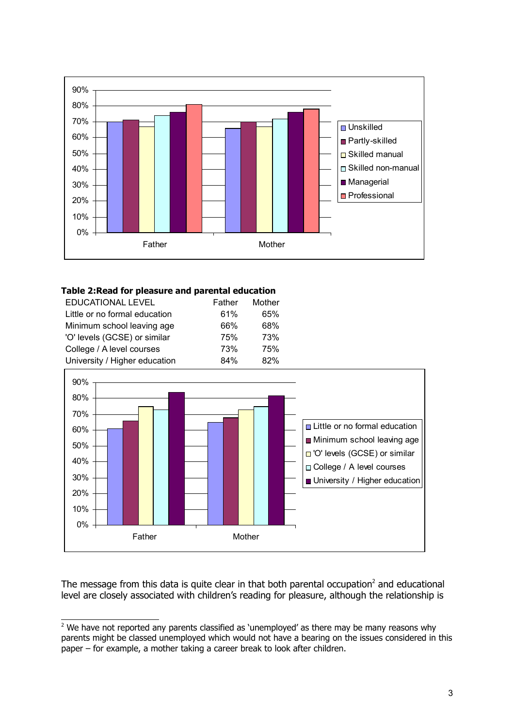

## **Table 2:Read for pleasure and parental education**

| <b>EDUCATIONAL LEVEL</b>      | Father | Mother     |
|-------------------------------|--------|------------|
| Little or no formal education |        | 61%<br>65% |
| Minimum school leaving age    |        | 68%<br>66% |
| 'O' levels (GCSE) or similar  |        | 75%<br>73% |
| College / A level courses     |        | 73%<br>75% |
| University / Higher education |        | 84%<br>82% |



The message from this data is quite clear in that both parental occupation<sup>[2](#page-2-0)</sup> and educational level are closely associated with children's reading for pleasure, although the relationship is

<span id="page-2-0"></span> $2$  We have not reported any parents classified as 'unemployed' as there may be many reasons why parents might be classed unemployed which would not have a bearing on the issues considered in this paper – for example, a mother taking a career break to look after children.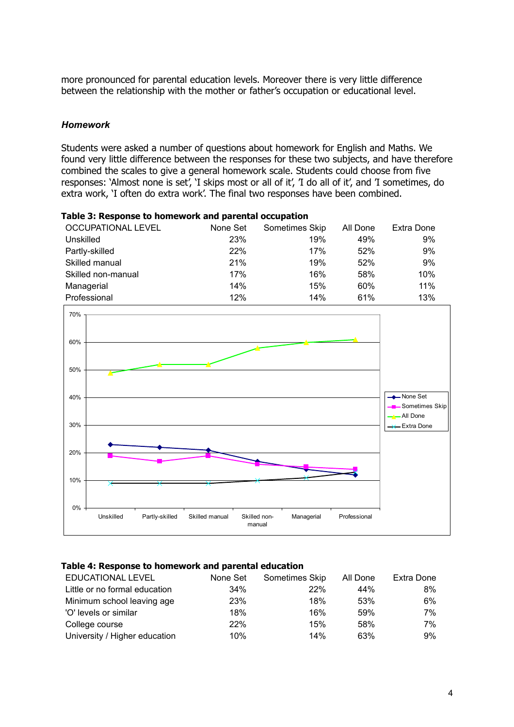more pronounced for parental education levels. Moreover there is very little difference between the relationship with the mother or father's occupation or educational level.

#### *Homework*

Students were asked a number of questions about homework for English and Maths. We found very little difference between the responses for these two subjects, and have therefore combined the scales to give a general homework scale. Students could choose from five responses: 'Almost none is set', 'I skips most or all of it', 'I do all of it', and 'I sometimes, do extra work, 'I often do extra work'. The final two responses have been combined.

| Table 3: Response to homework and parental occupation |  |  |
|-------------------------------------------------------|--|--|
|-------------------------------------------------------|--|--|

| OCCUPATIONAL LEVEL | None Set | Sometimes Skip | All Done | Extra Done |
|--------------------|----------|----------------|----------|------------|
| Unskilled          | 23%      | 19%            | 49%      | 9%         |
| Partly-skilled     | 22%      | 17%            | 52%      | 9%         |
| Skilled manual     | 21%      | 19%            | 52%      | 9%         |
| Skilled non-manual | 17%      | 16%            | 58%      | 10%        |
| Managerial         | 14%      | 15%            | 60%      | 11%        |
| Professional       | 12%      | 14%            | 61%      | 13%        |



#### **Table 4: Response to homework and parental education**

| EDUCATIONAL LEVEL             | None Set | Sometimes Skip | All Done | Extra Done |
|-------------------------------|----------|----------------|----------|------------|
| Little or no formal education | 34%      | 22%            | 44%      | 8%         |
| Minimum school leaving age    | 23%      | 18%            | 53%      | 6%         |
| 'O' levels or similar         | 18%      | 16%            | 59%      | 7%         |
| College course                | 22%      | 15%            | 58%      | 7%         |
| University / Higher education | 10%      | 14%            | 63%      | 9%         |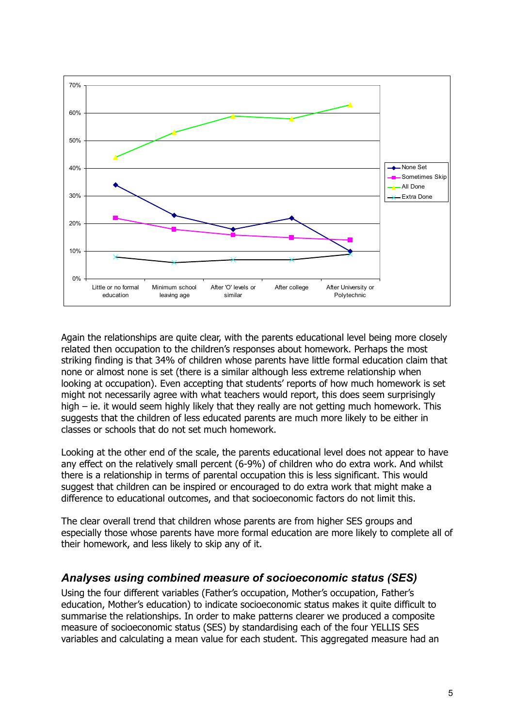

Again the relationships are quite clear, with the parents educational level being more closely related then occupation to the children's responses about homework. Perhaps the most striking finding is that 34% of children whose parents have little formal education claim that none or almost none is set (there is a similar although less extreme relationship when looking at occupation). Even accepting that students' reports of how much homework is set might not necessarily agree with what teachers would report, this does seem surprisingly high – ie. it would seem highly likely that they really are not getting much homework. This suggests that the children of less educated parents are much more likely to be either in classes or schools that do not set much homework.

Looking at the other end of the scale, the parents educational level does not appear to have any effect on the relatively small percent (6-9%) of children who do extra work. And whilst there is a relationship in terms of parental occupation this is less significant. This would suggest that children can be inspired or encouraged to do extra work that might make a difference to educational outcomes, and that socioeconomic factors do not limit this.

The clear overall trend that children whose parents are from higher SES groups and especially those whose parents have more formal education are more likely to complete all of their homework, and less likely to skip any of it.

## *Analyses using combined measure of socioeconomic status (SES)*

Using the four different variables (Father's occupation, Mother's occupation, Father's education, Mother's education) to indicate socioeconomic status makes it quite difficult to summarise the relationships. In order to make patterns clearer we produced a composite measure of socioeconomic status (SES) by standardising each of the four YELLIS SES variables and calculating a mean value for each student. This aggregated measure had an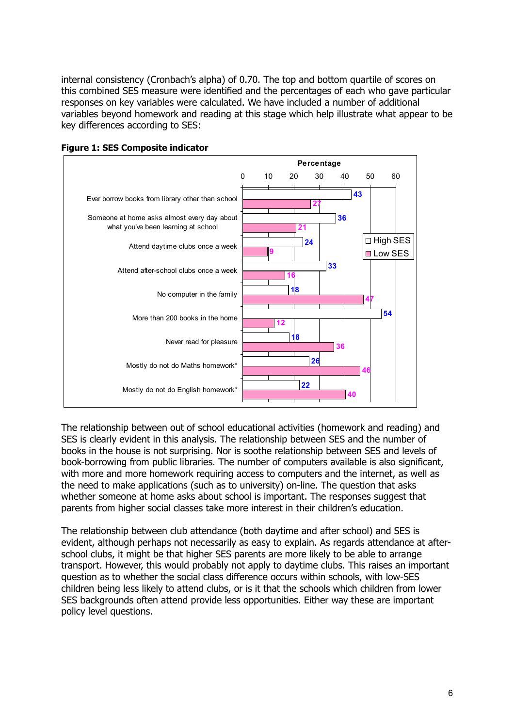internal consistency (Cronbach's alpha) of 0.70. The top and bottom quartile of scores on this combined SES measure were identified and the percentages of each who gave particular responses on key variables were calculated. We have included a number of additional variables beyond homework and reading at this stage which help illustrate what appear to be key differences according to SES:





The relationship between out of school educational activities (homework and reading) and SES is clearly evident in this analysis. The relationship between SES and the number of books in the house is not surprising. Nor is soothe relationship between SES and levels of book-borrowing from public libraries. The number of computers available is also significant, with more and more homework requiring access to computers and the internet, as well as the need to make applications (such as to university) on-line. The question that asks whether someone at home asks about school is important. The responses suggest that parents from higher social classes take more interest in their children's education.

The relationship between club attendance (both daytime and after school) and SES is evident, although perhaps not necessarily as easy to explain. As regards attendance at afterschool clubs, it might be that higher SES parents are more likely to be able to arrange transport. However, this would probably not apply to daytime clubs. This raises an important question as to whether the social class difference occurs within schools, with low-SES children being less likely to attend clubs, or is it that the schools which children from lower SES backgrounds often attend provide less opportunities. Either way these are important policy level questions.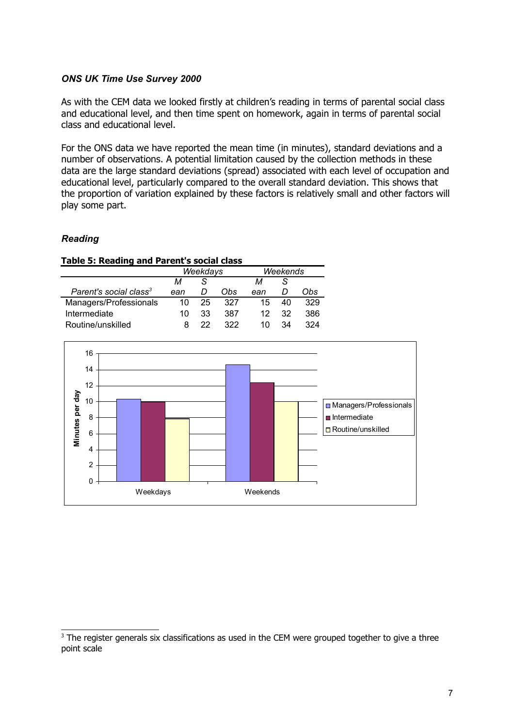## *ONS UK Time Use Survey 2000*

As with the CEM data we looked firstly at children's reading in terms of parental social class and educational level, and then time spent on homework, again in terms of parental social class and educational level.

For the ONS data we have reported the mean time (in minutes), standard deviations and a number of observations. A potential limitation caused by the collection methods in these data are the large standard deviations (spread) associated with each level of occupation and educational level, particularly compared to the overall standard deviation. This shows that the proportion of variation explained by these factors is relatively small and other factors will play some part.

## *Reading*

#### **Table 5: Reading and Parent's social class**

|                                    | Weekdays |    |     | Weekends |    |     |
|------------------------------------|----------|----|-----|----------|----|-----|
|                                    | м        |    |     | м        |    |     |
| Parent's social class <sup>3</sup> | ean      | D  | Obs | ean      |    | Obs |
| Managers/Professionals             | 10       | 25 | 327 | 15       |    | 329 |
| Intermediate                       | 10       | 33 | 387 | 12.      | 32 | 386 |
| Routine/unskilled                  |          | 22 | 322 | 10       | 34 | 324 |



<span id="page-6-0"></span><sup>&</sup>lt;sup>3</sup> The register generals six classifications as used in the CEM were grouped together to give a three point scale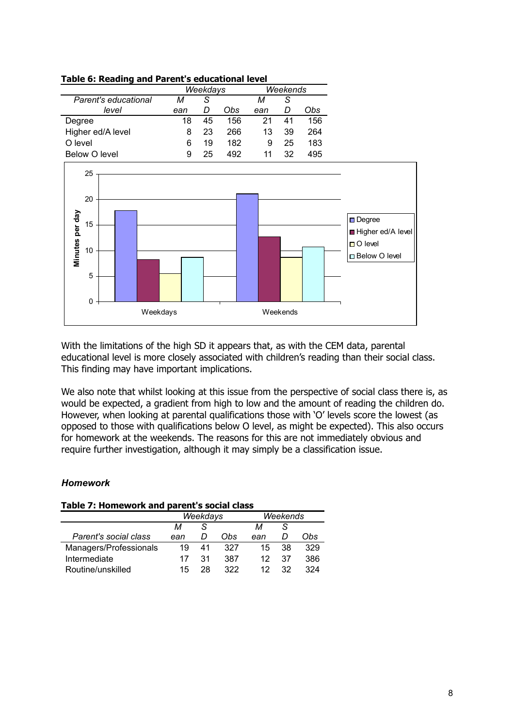| Table of Regullig and Farent's caucacional Icvel |          |    |          |     |     |     |  |
|--------------------------------------------------|----------|----|----------|-----|-----|-----|--|
|                                                  | Weekdays |    | Weekends |     |     |     |  |
| Parent's educational                             | м        | S  |          | м   |     |     |  |
| level                                            | ean      | D  | Obs      | ean | , ו | Obs |  |
| Degree                                           | 18       | 45 | 156      | 21  | 41  | 156 |  |
| Higher ed/A level                                | 8        | 23 | 266      | 13  | 39  | 264 |  |
| O level                                          | 6        | 19 | 182      | 9   | 25  | 183 |  |
| <b>Below O level</b>                             | 9        | 25 | 492      | 11  | 32  | 495 |  |

**Table 6: Reading and Parent's educational level**



With the limitations of the high SD it appears that, as with the CEM data, parental educational level is more closely associated with children's reading than their social class. This finding may have important implications.

We also note that whilst looking at this issue from the perspective of social class there is, as would be expected, a gradient from high to low and the amount of reading the children do. However, when looking at parental qualifications those with 'O' levels score the lowest (as opposed to those with qualifications below O level, as might be expected). This also occurs for homework at the weekends. The reasons for this are not immediately obvious and require further investigation, although it may simply be a classification issue.

## *Homework*

| Table 7: Homework and parent's social class |     |          |     |                 |          |     |  |
|---------------------------------------------|-----|----------|-----|-----------------|----------|-----|--|
|                                             |     | Weekdays |     |                 | Weekends |     |  |
|                                             | м   |          |     | м               | S.       |     |  |
| Parent's social class                       | ean |          | Obs | ean             |          | Obs |  |
| Managers/Professionals                      | 19  | 41       | 327 | 15              | 38       | 329 |  |
| Intermediate                                | 17  | 31       | 387 | 12              | 37       | 386 |  |
| Routine/unskilled                           | 15  | 28       | 322 | 12 <sub>1</sub> | 32       | 324 |  |

**Table 7: Homework and parent's social class**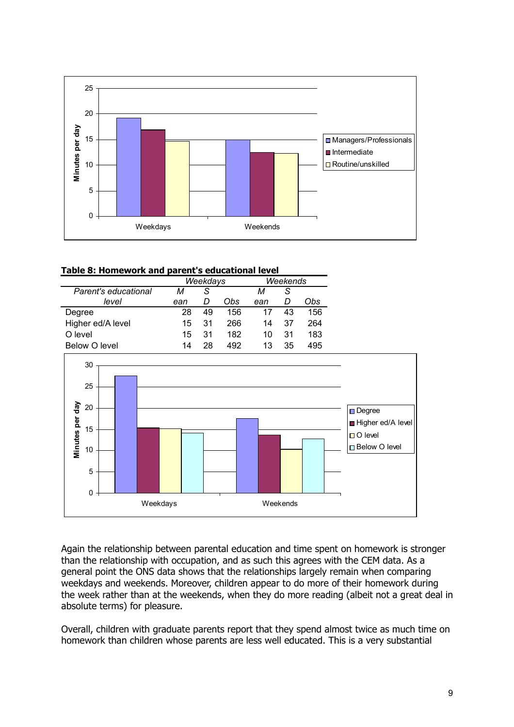

## **Table 8: Homework and parent's educational level**

|                      | Weekdays |    |     | Weekends |    |     |
|----------------------|----------|----|-----|----------|----|-----|
| Parent's educational | м        | S  |     | м        | S  |     |
| level                | ean      |    | Obs | ean      | D  | Obs |
| Degree               | 28       | 49 | 156 | 17       | 43 | 156 |
| Higher ed/A level    | 15       | 31 | 266 | 14       | 37 | 264 |
| O level              | 15       | 31 | 182 | 10       | 31 | 183 |
| Below O level        | 14       | 28 | 492 | 13       | 35 | 495 |



Again the relationship between parental education and time spent on homework is stronger than the relationship with occupation, and as such this agrees with the CEM data. As a general point the ONS data shows that the relationships largely remain when comparing weekdays and weekends. Moreover, children appear to do more of their homework during the week rather than at the weekends, when they do more reading (albeit not a great deal in absolute terms) for pleasure.

Overall, children with graduate parents report that they spend almost twice as much time on homework than children whose parents are less well educated. This is a very substantial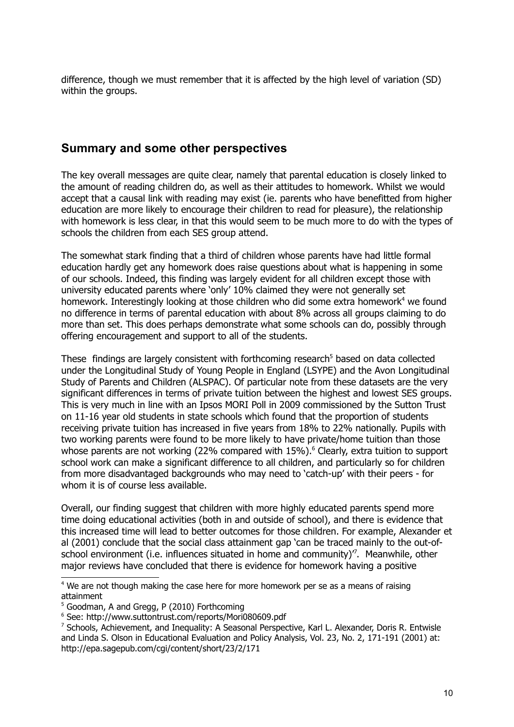difference, though we must remember that it is affected by the high level of variation (SD) within the groups.

# **Summary and some other perspectives**

The key overall messages are quite clear, namely that parental education is closely linked to the amount of reading children do, as well as their attitudes to homework. Whilst we would accept that a causal link with reading may exist (ie. parents who have benefitted from higher education are more likely to encourage their children to read for pleasure), the relationship with homework is less clear, in that this would seem to be much more to do with the types of schools the children from each SES group attend.

The somewhat stark finding that a third of children whose parents have had little formal education hardly get any homework does raise questions about what is happening in some of our schools. Indeed, this finding was largely evident for all children except those with university educated parents where 'only' 10% claimed they were not generally set homework. Interestingly looking at those children who did some extra homework<sup>[4](#page-9-0)</sup> we found no difference in terms of parental education with about 8% across all groups claiming to do more than set. This does perhaps demonstrate what some schools can do, possibly through offering encouragement and support to all of the students.

These findings are largely consistent with forthcoming research<sup>[5](#page-9-1)</sup> based on data collected under the Longitudinal Study of Young People in England (LSYPE) and the Avon Longitudinal Study of Parents and Children (ALSPAC). Of particular note from these datasets are the very significant differences in terms of private tuition between the highest and lowest SES groups. This is very much in line with an Ipsos MORI Poll in 2009 commissioned by the Sutton Trust on 11-16 year old students in state schools which found that the proportion of students receiving private tuition has increased in five years from 18% to 22% nationally. Pupils with two working parents were found to be more likely to have private/home tuition than those whose parents are not working (22% compared with 15%). [6](#page-9-2) Clearly, extra tuition to support school work can make a significant difference to all children, and particularly so for children from more disadvantaged backgrounds who may need to 'catch-up' with their peers - for whom it is of course less available.

Overall, our finding suggest that children with more highly educated parents spend more time doing educational activities (both in and outside of school), and there is evidence that this increased time will lead to better outcomes for those children. For example, Alexander et al (2001) conclude that the social class attainment gap 'can be traced mainly to the out-ofschool environment (i.e. influences situated in home and community) $\frac{7}{7}$  $\frac{7}{7}$  $\frac{7}{7}$ . Meanwhile, other major reviews have concluded that there is evidence for homework having a positive

<span id="page-9-0"></span><sup>&</sup>lt;sup>4</sup> We are not though making the case here for more homework per se as a means of raising attainment

<span id="page-9-1"></span><sup>&</sup>lt;sup>5</sup> Goodman, A and Gregg, P (2010) Forthcoming

<span id="page-9-2"></span><sup>6</sup> See: http://www.suttontrust.com/reports/Mori080609.pdf

<span id="page-9-3"></span> $^7$  Schools, Achievement, and Inequality: A Seasonal Perspective, Karl L. Alexander, Doris R. Entwisle and Linda S. Olson in Educational Evaluation and Policy Analysis, Vol. 23, No. 2, 171-191 (2001) at: http://epa.sagepub.com/cgi/content/short/23/2/171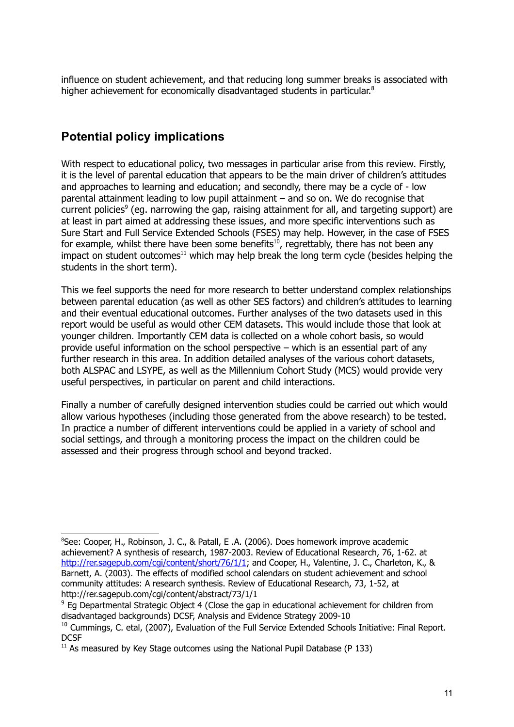influence on student achievement, and that reducing long summer breaks is associated with higher achievement for economically disadvantaged students in particular.<sup>[8](#page-10-0)</sup>

# **Potential policy implications**

With respect to educational policy, two messages in particular arise from this review. Firstly, it is the level of parental education that appears to be the main driver of children's attitudes and approaches to learning and education; and secondly, there may be a cycle of - low parental attainment leading to low pupil attainment – and so on. We do recognise that current policies<sup>[9](#page-10-1)</sup> (eg. narrowing the gap, raising attainment for all, and targeting support) are at least in part aimed at addressing these issues, and more specific interventions such as Sure Start and Full Service Extended Schools (FSES) may help. However, in the case of FSES for example, whilst there have been some benefits<sup>[10](#page-10-2)</sup>, regrettably, there has not been any impact on student outcomes<sup>[11](#page-10-3)</sup> which may help break the long term cycle (besides helping the students in the short term).

This we feel supports the need for more research to better understand complex relationships between parental education (as well as other SES factors) and children's attitudes to learning and their eventual educational outcomes. Further analyses of the two datasets used in this report would be useful as would other CEM datasets. This would include those that look at younger children. Importantly CEM data is collected on a whole cohort basis, so would provide useful information on the school perspective – which is an essential part of any further research in this area. In addition detailed analyses of the various cohort datasets, both ALSPAC and LSYPE, as well as the Millennium Cohort Study (MCS) would provide very useful perspectives, in particular on parent and child interactions.

Finally a number of carefully designed intervention studies could be carried out which would allow various hypotheses (including those generated from the above research) to be tested. In practice a number of different interventions could be applied in a variety of school and social settings, and through a monitoring process the impact on the children could be assessed and their progress through school and beyond tracked.

<span id="page-10-0"></span><sup>&</sup>lt;sup>8</sup>See: Cooper, H., Robinson, J. C., & Patall, E .A. (2006). Does homework improve academic achievement? A synthesis of research, 1987-2003. Review of Educational Research, 76, 1-62. at [http://rer.sagepub.com/cgi/content/short/76/1/1;](http://rer.sagepub.com/cgi/content/short/76/1/1) and Cooper, H., Valentine, J. C., Charleton, K., & Barnett, A. (2003). The effects of modified school calendars on student achievement and school community attitudes: A research synthesis. Review of Educational Research, 73, 1-52, at http://rer.sagepub.com/cgi/content/abstract/73/1/1

<span id="page-10-1"></span> $9$  Eg Departmental Strategic Object 4 (Close the gap in educational achievement for children from disadvantaged backgrounds) DCSF, Analysis and Evidence Strategy 2009-10

<span id="page-10-2"></span><sup>&</sup>lt;sup>10</sup> Cummings, C. etal, (2007), Evaluation of the Full Service Extended Schools Initiative: Final Report. **DCSF** 

<span id="page-10-3"></span> $11$  As measured by Key Stage outcomes using the National Pupil Database (P 133)